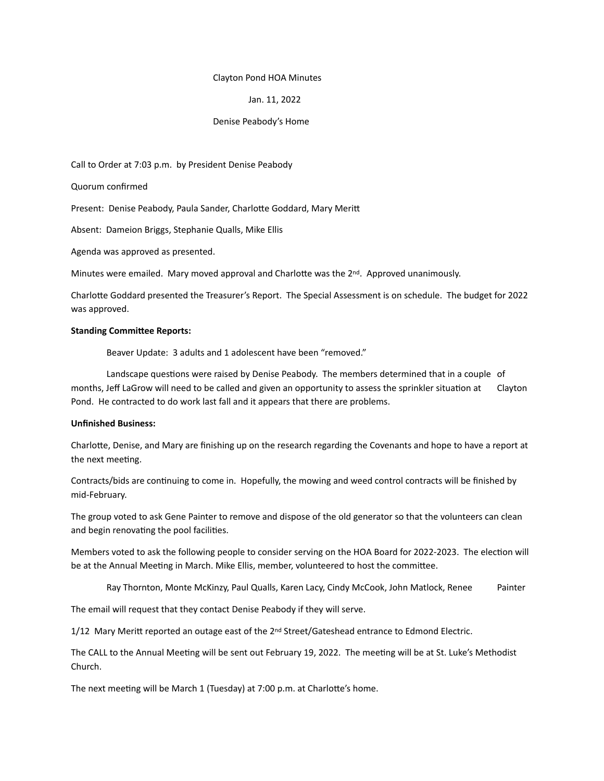#### Clayton Pond HOA Minutes

## Jan. 11, 2022

### Denise Peabody's Home

Call to Order at 7:03 p.m. by President Denise Peabody

Quorum confirmed

Present: Denise Peabody, Paula Sander, Charlotte Goddard, Mary Meritt

Absent: Dameion Briggs, Stephanie Qualls, Mike Ellis

Agenda was approved as presented.

Minutes were emailed. Mary moved approval and Charlotte was the  $2^{nd}$ . Approved unanimously.

Charlotte Goddard presented the Treasurer's Report. The Special Assessment is on schedule. The budget for 2022 was approved.

### **Standing Committee Reports:**

Beaver Update: 3 adults and 1 adolescent have been "removed."

Landscape questions were raised by Denise Peabody. The members determined that in a couple of months, Jeff LaGrow will need to be called and given an opportunity to assess the sprinkler situation at Clayton Pond. He contracted to do work last fall and it appears that there are problems.

# **Unfinished Business:**

Charlotte, Denise, and Mary are finishing up on the research regarding the Covenants and hope to have a report at the next meeting.

Contracts/bids are continuing to come in. Hopefully, the mowing and weed control contracts will be finished by mid-February.

The group voted to ask Gene Painter to remove and dispose of the old generator so that the volunteers can clean and begin renovating the pool facilities.

Members voted to ask the following people to consider serving on the HOA Board for 2022-2023. The election will be at the Annual Meeting in March. Mike Ellis, member, volunteered to host the committee.

Ray Thornton, Monte McKinzy, Paul Qualls, Karen Lacy, Cindy McCook, John Matlock, Renee Painter

The email will request that they contact Denise Peabody if they will serve.

1/12 Mary Meritt reported an outage east of the 2<sup>nd</sup> Street/Gateshead entrance to Edmond Electric.

The CALL to the Annual Meeting will be sent out February 19, 2022. The meeting will be at St. Luke's Methodist Church.

The next meeting will be March 1 (Tuesday) at 7:00 p.m. at Charlotte's home.